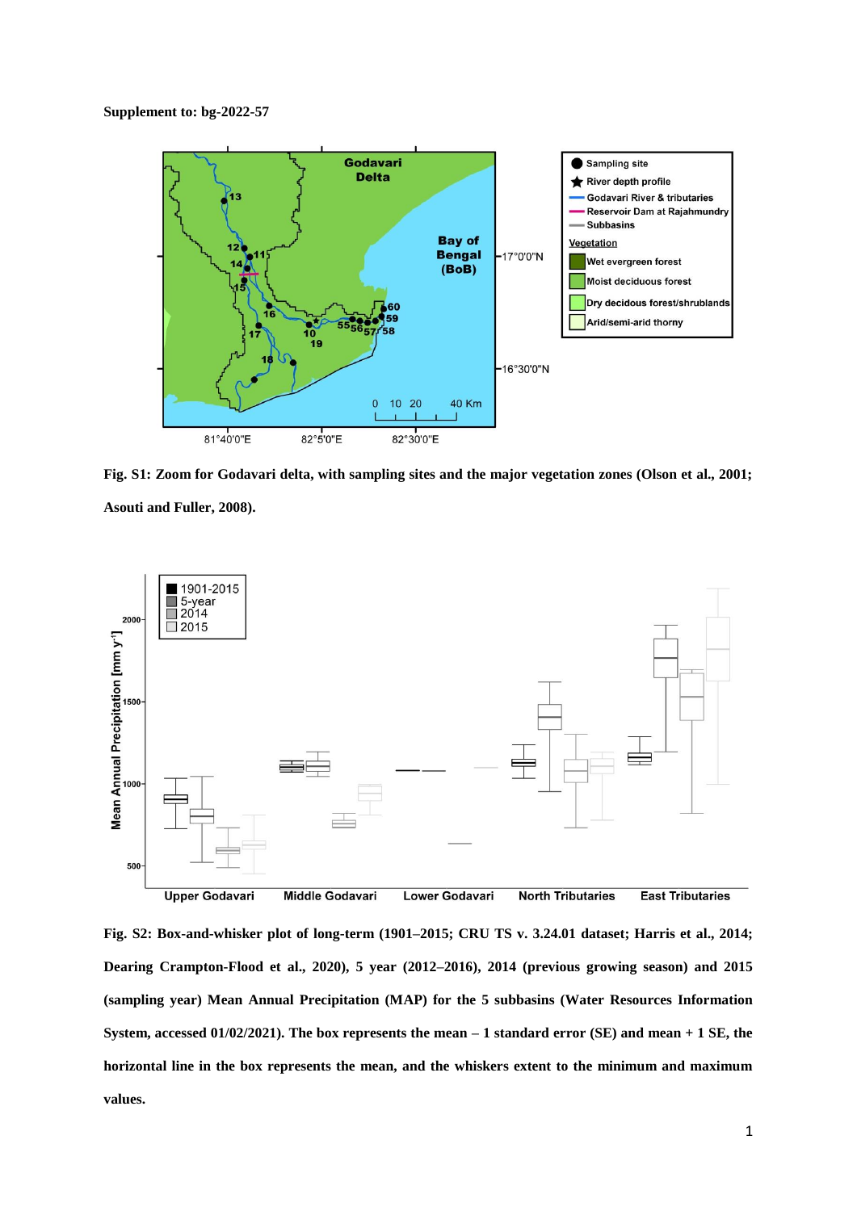

**Fig. S1: Zoom for Godavari delta, with sampling sites and the major vegetation zones (Olson et al., 2001; Asouti and Fuller, 2008).** 



**Fig. S2: Box-and-whisker plot of long-term (1901–2015; CRU TS v. 3.24.01 dataset; Harris et al., 2014; Dearing Crampton-Flood et al., 2020), 5 year (2012–2016), 2014 (previous growing season) and 2015 (sampling year) Mean Annual Precipitation (MAP) for the 5 subbasins (Water Resources Information System, accessed 01/02/2021). The box represents the mean – 1 standard error (SE) and mean + 1 SE, the horizontal line in the box represents the mean, and the whiskers extent to the minimum and maximum values.**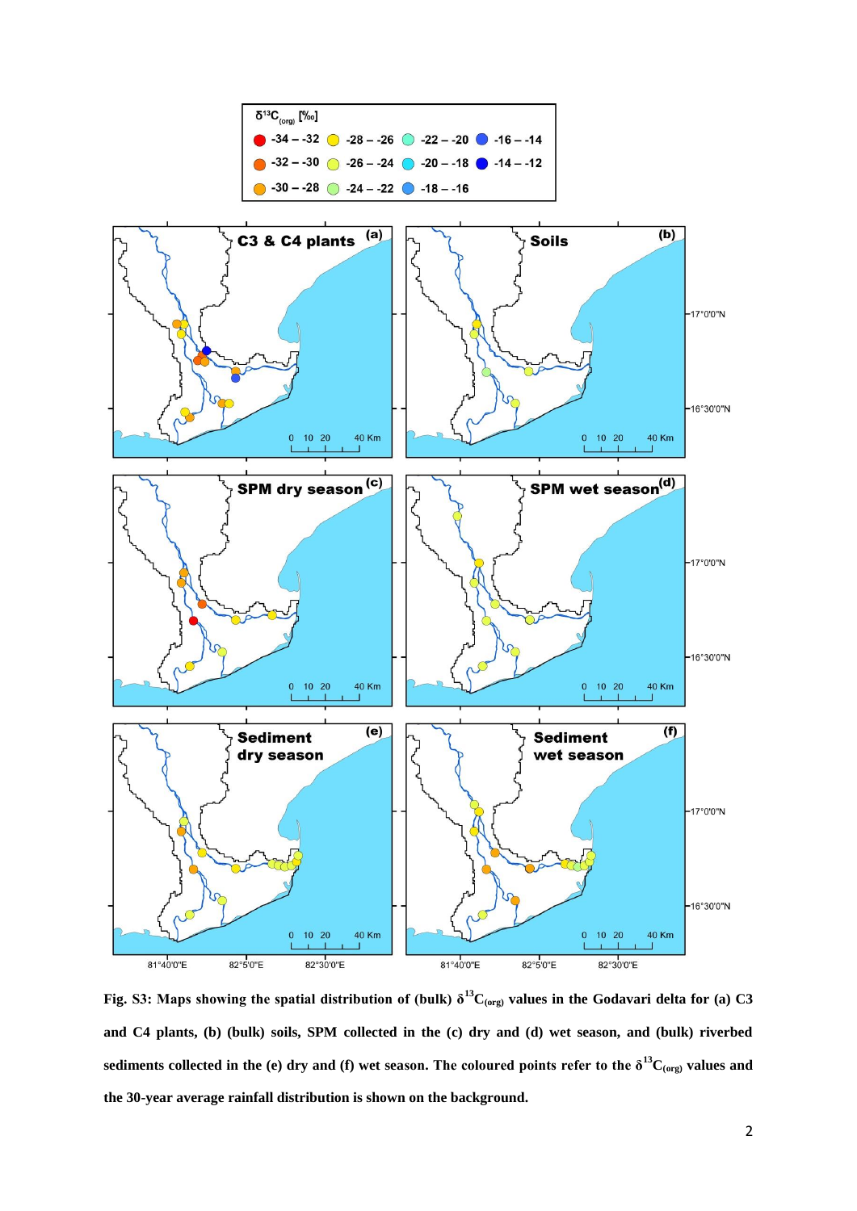

**Fig. S3: Maps showing the spatial distribution of (bulk) δ<sup>13</sup>C(org) values in the Godavari delta for (a) C3 and C4 plants, (b) (bulk) soils, SPM collected in the (c) dry and (d) wet season, and (bulk) riverbed**  sediments collected in the (e) dry and (f) wet season. The coloured points refer to the  $\delta^{13}C_{(org)}$  values and **the 30-year average rainfall distribution is shown on the background.**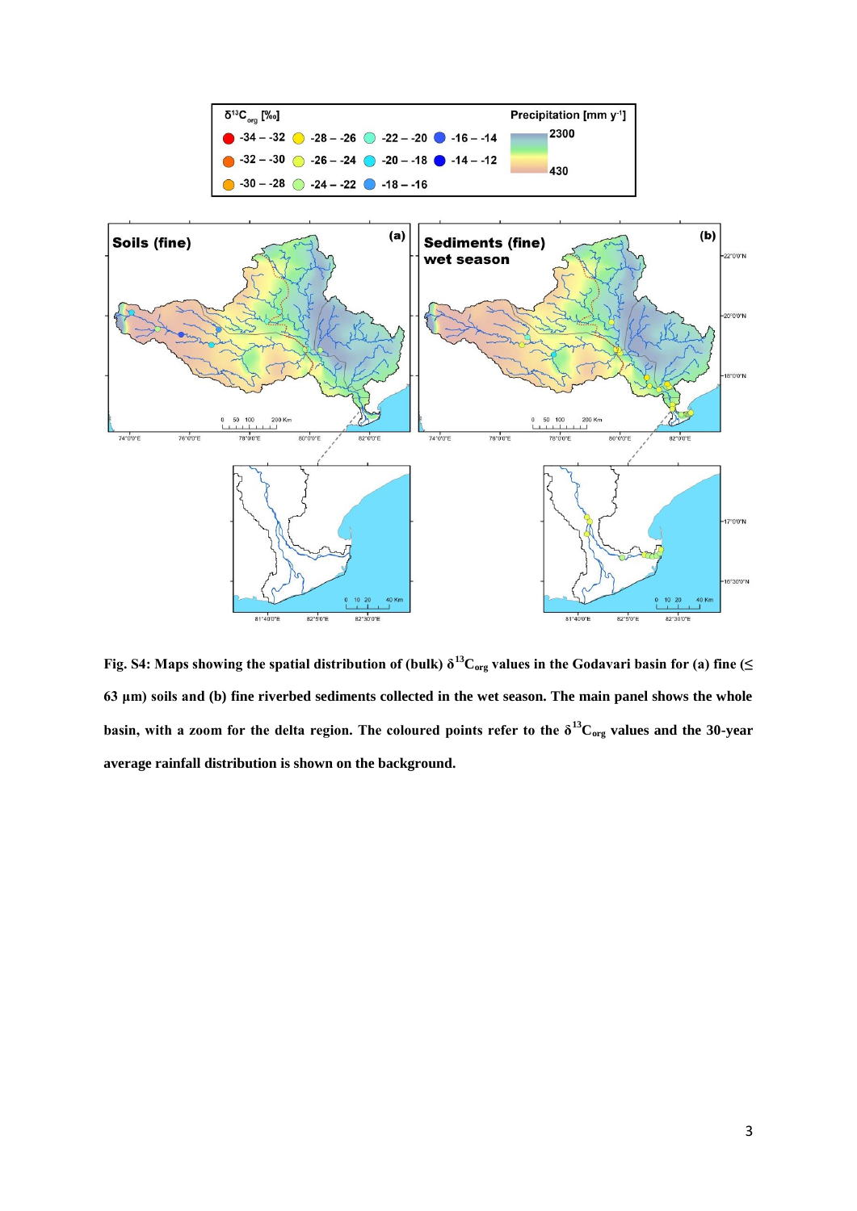

**Fig. S4: Maps showing the spatial distribution of (bulk) δ<sup>13</sup>Corg values in the Godavari basin for (a) fine (≤ 63 μm) soils and (b) fine riverbed sediments collected in the wet season. The main panel shows the whole basin, with a zoom for the delta region. The coloured points refer to the**  $\delta^{13}C_{org}$  **values and the 30-year average rainfall distribution is shown on the background.**